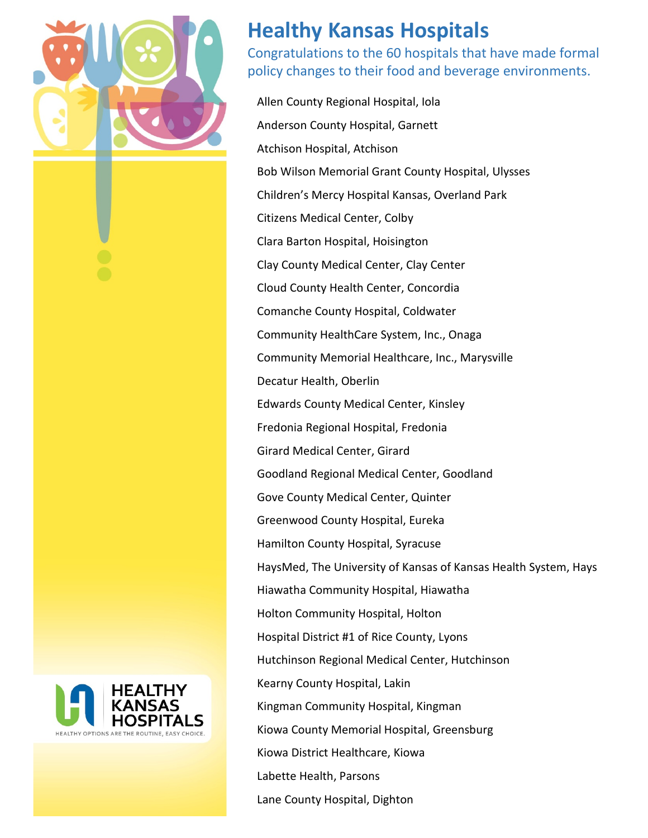

## **Healthy Kansas Hospitals**

Congratulations to the 60 hospitals that have made formal policy changes to their food and beverage environments.

Allen County Regional Hospital, Iola Anderson County Hospital, Garnett Atchison Hospital, Atchison Bob Wilson Memorial Grant County Hospital, Ulysses Children's Mercy Hospital Kansas, Overland Park Citizens Medical Center, Colby Clara Barton Hospital, Hoisington Clay County Medical Center, Clay Center Cloud County Health Center, Concordia Comanche County Hospital, Coldwater Community HealthCare System, Inc., Onaga Community Memorial Healthcare, Inc., Marysville Decatur Health, Oberlin Edwards County Medical Center, Kinsley Fredonia Regional Hospital, Fredonia Girard Medical Center, Girard Goodland Regional Medical Center, Goodland Gove County Medical Center, Quinter Greenwood County Hospital, Eureka Hamilton County Hospital, Syracuse HaysMed, The University of Kansas of Kansas Health System, Hays Hiawatha Community Hospital, Hiawatha Holton Community Hospital, Holton Hospital District #1 of Rice County, Lyons Hutchinson Regional Medical Center, Hutchinson Kearny County Hospital, Lakin Kingman Community Hospital, Kingman Kiowa County Memorial Hospital, Greensburg Kiowa District Healthcare, Kiowa Labette Health, Parsons Lane County Hospital, Dighton